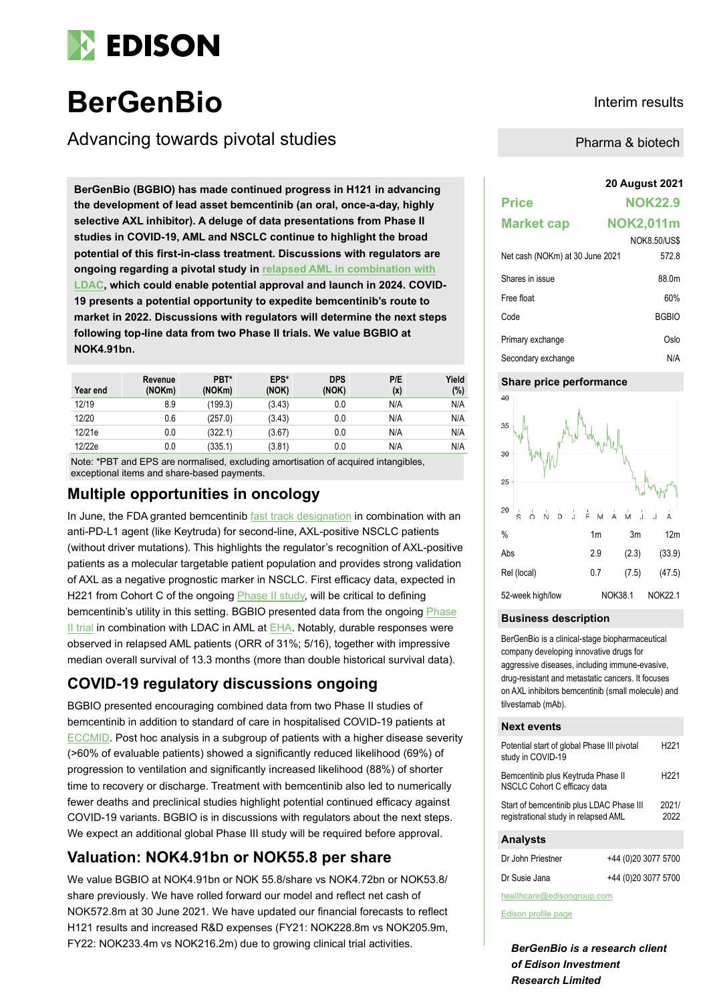

# **BerGenBio Interim results**

Advancing towards pivotal studies

**20 August 2021 BerGenBio (BGBIO) has made continued progress in H121 in advancing the development of lead asset bemcentinib (an oral, once-a-day, highly selective AXL inhibitor). A deluge of data presentations from Phase II studies in COVID-19, AML and NSCLC continue to highlight the broad potential of this first-in-class treatment. Discussions with regulators are ongoing regarding a pivotal study in [relapsed AML in combination with](https://www.bergenbio.com/wp-content/uploads/2021/08/BGBIO-Q2-2021-presentation.pdf)  [LDAC,](https://www.bergenbio.com/wp-content/uploads/2021/08/BGBIO-Q2-2021-presentation.pdf) which could enable potential approval and launch in 2024. COVID-19 presents a potential opportunity to expedite bemcentinib's route to market in 2022. Discussions with regulators will determine the next steps following top-line data from two Phase II trials. We value BGBIO at NOK4.91bn.**

| Year end | Revenue<br>(NOKm) | PBT*<br>(NOKm) | EPS*<br>(NOK) | <b>DPS</b><br>(NOK) | P/E<br>(x) | Yield<br>(%) |
|----------|-------------------|----------------|---------------|---------------------|------------|--------------|
| 12/19    | 8.9               | (199.3)        | (3.43)        | 0.0                 | N/A        | N/A          |
| 12/20    | 0.6               | (257.0)        | (3.43)        | 0.0                 | N/A        | N/A          |
| 12/21e   | 0.0               | (322.1)        | (3.67)        | 0.0                 | N/A        | N/A          |
| 12/22e   | 0.0               | (335.1)        | (3.81)        | 0.0                 | N/A        | N/A          |

Note: \*PBT and EPS are normalised, excluding amortisation of acquired intangibles, exceptional items and share-based payments.

## **Multiple opportunities in oncology**

In June, the FDA granted bemcentinib [fast track designation](https://www.edisongroup.com/publication/fda-grants-fast-track-designation/29618/) in combination with an anti-PD-L1 agent (like Keytruda) for second-line, AXL-positive NSCLC patients (without driver mutations). This highlights the regulator's recognition of AXL-positive patients as a molecular targetable patient population and provides strong validation of AXL as a negative prognostic marker in NSCLC. First efficacy data, expected in H221 from Cohort C of the ongoing **Phase II study**, will be critical to defining bemcentinib's utility in this setting. BGBIO presented data from the ongoing Phase [II trial](https://clinicaltrials.gov/ct2/show/NCT02488408) in combination with LDAC in AML at [EHA.](https://www.bergenbio.com/wp-content/uploads/2021/06/EHA2021-ePoster-Loges-FINAL-28-May.pdf) Notably, durable responses were observed in relapsed AML patients (ORR of 31%; 5/16), together with impressive median overall survival of 13.3 months (more than double historical survival data).

# **COVID-19 regulatory discussions ongoing**

BGBIO presented encouraging combined data from two Phase II studies of bemcentinib in addition to standard of care in hospitalised COVID-19 patients at [ECCMID.](https://www.bergenbio.com/wp-content/uploads/2021/07/ECCMID-2021-LB-oral-Bemcentinib-12jul2021-.pdf) Post hoc analysis in a subgroup of patients with a higher disease severity (>60% of evaluable patients) showed a significantly reduced likelihood (69%) of progression to ventilation and significantly increased likelihood (88%) of shorter time to recovery or discharge. Treatment with bemcentinib also led to numerically fewer deaths and preclinical studies highlight potential continued efficacy against COVID-19 variants. BGBIO is in discussions with regulators about the next steps. We expect an additional global Phase III study will be required before approval.

# **Valuation: NOK4.91bn or NOK55.8 per share**

We value BGBIO at NOK4.91bn or NOK 55.8/share vs NOK4.72bn or NOK53.8/ share previously. We have rolled forward our model and reflect net cash of NOK572.8m at 30 June 2021. We have updated our financial forecasts to reflect H121 results and increased R&D expenses (FY21: NOK228.8m vs NOK205.9m, FY22: NOK233.4m vs NOK216.2m) due to growing clinical trial activities.

Pharma & biotech

# **Price NOK22.9 Market cap NOK2,011m** NOK8.50/US\$ Net cash (NOKm) at 30 June 2021 572.8 Shares in issue 88.0m Free float 60% Code BGBIO Primary exchange **Oslo** Secondary exchange N/A

#### **Share price performance**



#### **Business description**

BerGenBio is a clinical-stage biopharmaceutical company developing innovative drugs for aggressive diseases, including immune-evasive, drug-resistant and metastatic cancers. It focuses on AXL inhibitors bemcentinib (small molecule) and tilvestamab (mAb).

#### **Next events**

| Potential start of global Phase III pivotal<br>study in COVID-19                 |                     | H <sub>221</sub> |
|----------------------------------------------------------------------------------|---------------------|------------------|
| Bemcentinib plus Keytruda Phase II<br>NSCLC Cohort C efficacy data               |                     | H221             |
| Start of bemcentinib plus LDAC Phase III<br>registrational study in relapsed AML |                     | 2021/<br>2022    |
| <b>Analysts</b>                                                                  |                     |                  |
| Dr John Priestner                                                                | +44 (0)20 3077 5700 |                  |

| Dr John Priestner | +44 (0)20 3077 5700 |
|-------------------|---------------------|
| Dr Susie Jana     | +44 (0)20 3077 5700 |

healthcare@edisongroup.com

[Edison profile page](https://www.edisongroup.com/company/bergenbio/2949/)

*BerGenBio is a research client of Edison Investment Research Limited*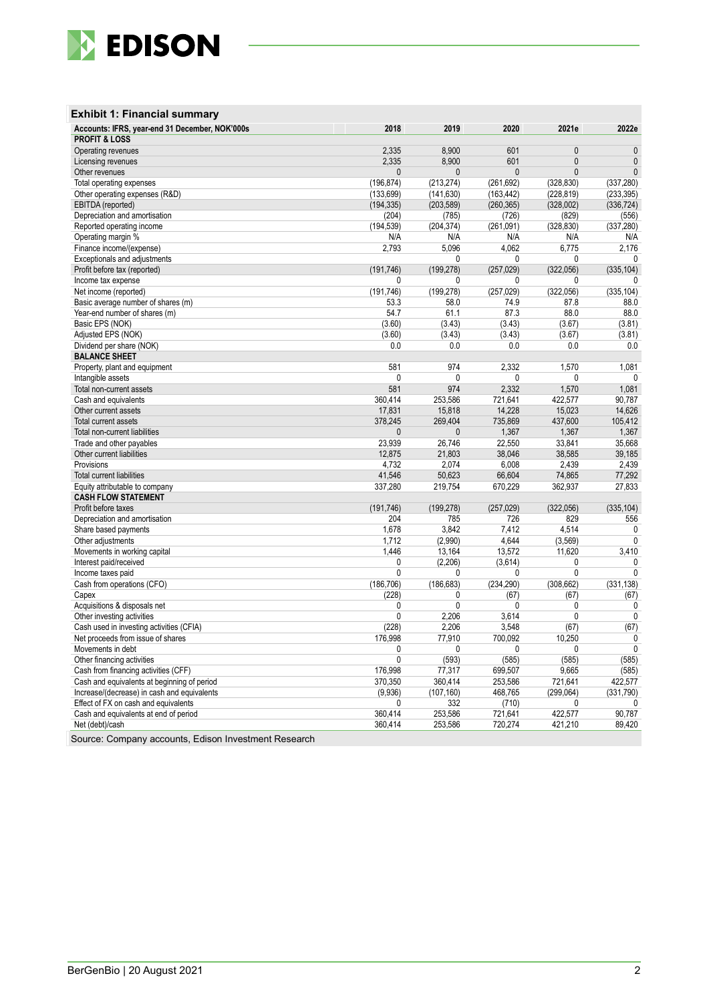

### **Exhibit 1: Financial summary**

| Accounts: IFRS, year-end 31 December, NOK'000s | 2018           | 2019         | 2020         | 2021e        | 2022e        |
|------------------------------------------------|----------------|--------------|--------------|--------------|--------------|
| <b>PROFIT &amp; LOSS</b>                       |                |              |              |              |              |
| Operating revenues                             | 2,335          | 8,900        | 601          | $\mathbf{0}$ | $\mathbf{0}$ |
| Licensing revenues                             | 2,335          | 8,900        | 601          | $\mathbf{0}$ | $\mathbf{0}$ |
| Other revenues                                 | 0              | $\mathbf{0}$ | 0            | $\mathbf{0}$ | $\mathbf{0}$ |
| Total operating expenses                       | (196, 874)     | (213, 274)   | (261, 692)   | (328, 830)   | (337, 280)   |
| Other operating expenses (R&D)                 | (133, 699)     | (141, 630)   | (163, 442)   | (228, 819)   | (233, 395)   |
| EBITDA (reported)                              | (194, 335)     | (203, 589)   | (260, 365)   | (328,002)    | (336, 724)   |
| Depreciation and amortisation                  | (204)          | (785)        | (726)        | (829)        | (556)        |
| Reported operating income                      | (194, 539)     | (204, 374)   | (261,091)    | (328, 830)   | (337, 280)   |
| Operating margin %                             | N/A            | N/A          | N/A          | N/A          | N/A          |
| Finance income/(expense)                       | 2,793          | 5,096        | 4.062        | 6,775        | 2,176        |
| Exceptionals and adjustments                   |                | $\mathbf 0$  | $\mathbf{0}$ | 0            | $\mathbf{0}$ |
| Profit before tax (reported)                   | (191, 746)     | (199, 278)   | (257, 029)   | (322,056)    | (335, 104)   |
| Income tax expense                             | 0              | 0            | 0            | 0            | 0            |
| Net income (reported)                          | (191, 746)     | (199, 278)   | (257, 029)   | (322,056)    | (335, 104)   |
| Basic average number of shares (m)             | 53.3           | 58.0         | 74.9         | 87.8         | 88.0         |
| Year-end number of shares (m)                  | 54.7           | 61.1         | 87.3         | 88.0         | 88.0         |
| Basic EPS (NOK)                                | (3.60)         | (3.43)       | (3.43)       | (3.67)       | (3.81)       |
| Adjusted EPS (NOK)                             | (3.60)         | (3.43)       | (3.43)       | (3.67)       | (3.81)       |
| Dividend per share (NOK)                       | 0.0            | 0.0          | 0.0          | 0.0          | 0.0          |
| <b>BALANCE SHEET</b>                           |                |              |              |              |              |
|                                                | 581            | 974          |              |              |              |
| Property, plant and equipment                  |                |              | 2,332        | 1,570        | 1,081        |
| Intangible assets                              | $\mathbf{0}$   | $\mathbf{0}$ | 0            | 0            | $\mathbf{0}$ |
| Total non-current assets                       | 581            | 974          | 2,332        | 1,570        | 1,081        |
| Cash and equivalents                           | 360,414        | 253,586      | 721,641      | 422,577      | 90,787       |
| Other current assets                           | 17,831         | 15,818       | 14,228       | 15,023       | 14,626       |
| Total current assets                           | 378,245        | 269,404      | 735,869      | 437,600      | 105,412      |
| Total non-current liabilities                  | 0              | $\mathbf{0}$ | 1,367        | 1,367        | 1,367        |
| Trade and other payables                       | 23,939         | 26,746       | 22,550       | 33,841       | 35,668       |
| Other current liabilities                      | 12,875         | 21,803       | 38,046       | 38,585       | 39,185       |
| Provisions                                     | 4,732          | 2,074        | 6,008        | 2,439        | 2,439        |
| <b>Total current liabilities</b>               | 41,546         | 50,623       | 66,604       | 74,865       | 77,292       |
| Equity attributable to company                 | 337,280        | 219,754      | 670,229      | 362,937      | 27,833       |
| <b>CASH FLOW STATEMENT</b>                     |                |              |              |              |              |
| Profit before taxes                            | (191, 746)     | (199, 278)   | (257, 029)   | (322,056)    | (335, 104)   |
| Depreciation and amortisation                  | 204            | 785          | 726          | 829          | 556          |
| Share based payments                           | 1,678          | 3,842        | 7,412        | 4,514        | $\mathbf{0}$ |
| Other adjustments                              | 1,712          | (2,990)      | 4,644        | (3, 569)     | $\mathbf{0}$ |
| Movements in working capital                   | 1,446          | 13,164       | 13,572       | 11,620       | 3,410        |
| Interest paid/received                         | 0              | (2, 206)     | (3,614)      | $\mathbf{0}$ | $\mathbf 0$  |
| Income taxes paid                              | 0              | 0            | 0            | $\mathbf{0}$ | $\mathbf 0$  |
| Cash from operations (CFO)                     | (186, 706)     | (186, 683)   | (234, 290)   | (308, 662)   | (331, 138)   |
| Capex                                          | (228)          | 0            | (67)         | (67)         | (67)         |
| Acquisitions & disposals net                   | 0              | $\mathbf{0}$ | 0            | $\mathbf{0}$ | $\pmb{0}$    |
| Other investing activities                     | 0              | 2,206        | 3,614        | $\mathbf{0}$ | $\mathbf{0}$ |
| Cash used in investing activities (CFIA)       | (228)          | 2,206        | 3,548        | (67)         | (67)         |
| Net proceeds from issue of shares              | 176,998        | 77,910       | 700,092      | 10,250       | 0            |
| Movements in debt                              | 0              | 0            | 0            | $\mathbf{0}$ | $\mathbf 0$  |
| Other financing activities                     | $\overline{0}$ | (593)        | (585)        | (585)        | (585)        |
| Cash from financing activities (CFF)           | 176,998        | 77,317       | 699,507      | 9,665        | (585)        |
| Cash and equivalents at beginning of period    | 370,350        | 360,414      | 253,586      | 721,641      | 422,577      |
| Increase/(decrease) in cash and equivalents    | (9,936)        | (107, 160)   | 468,765      | (299,064)    | (331,790)    |
| Effect of FX on cash and equivalents           | 0              | 332          | (710)        | $\mathbf{0}$ | $\mathbf{0}$ |
| Cash and equivalents at end of period          | 360,414        | 253,586      | 721,641      | 422,577      | 90,787       |
| Net (debt)/cash                                | 360,414        | 253,586      | 720,274      | 421,210      | 89,420       |
|                                                |                |              |              |              |              |

Source: Company accounts, Edison Investment Research